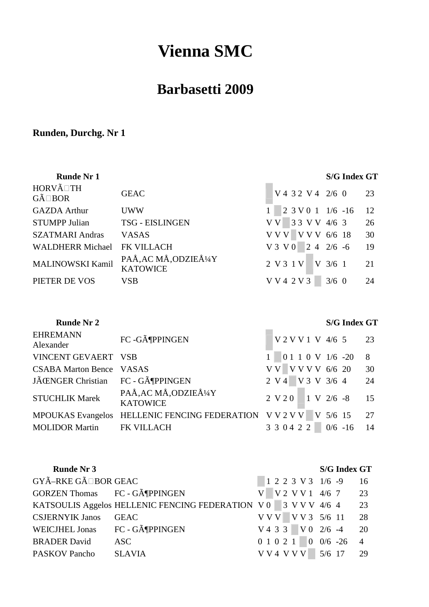# **Vienna SMC**

## **Barbasetti 2009**

## **Runden, Durchg. Nr 1**

| <b>Runde Nr 1</b>       |                                        |                                 | <b>S/G Index GT</b> |      |
|-------------------------|----------------------------------------|---------------------------------|---------------------|------|
| HORVÃ TH<br>GÃ BOR      | <b>GEAC</b>                            | $\sqrt{4}$ 32 V 4 2/6 0         |                     | 23   |
| <b>GAZDA Arthur</b>     | <b>UWW</b>                             | $2 \ 3 \ V \ 0 \ 1 \ 1/6 \ -16$ |                     | - 12 |
| <b>STUMPP Julian</b>    | <b>TSG - EISLINGEN</b>                 | V V 3 3 V V 4/6 3               |                     | 26   |
| <b>SZATMARI Andras</b>  | <b>VASAS</b>                           | $VVV$ V V V 6/6 18              |                     | 30   |
| <b>WALDHERR Michael</b> | <b>FK VILLACH</b>                      | $V3 V0 2 4 2/6 -6$              |                     | -19  |
| MALINOWSKI Kamil        | PAÅ, AC MÅ, ODZIEżY<br><b>KATOWICE</b> | 2 V 3 1 V                       | $V_3/61$            | 21   |
| PIETER DE VOS           | <b>VSB</b>                             | V V 4 2 V 3                     | $3/6$ 0             | 24   |

## **Runde Nr 2 S/G Index GT**

| <b>EHREMANN</b><br>Alexander     | FC -GöPPINGEN                                                       | V 2 V V 1 V 4/6 5 23      |   |
|----------------------------------|---------------------------------------------------------------------|---------------------------|---|
| VINCENT GEVAERT VSB              |                                                                     | $1 \t 0110V1/6 -20$       | 8 |
| <b>CSABA Marton Bence VASAS</b>  |                                                                     | V V V V V V 6/6 20 30     |   |
| JÌNGER Christian FC - GöPPINGEN  |                                                                     | 2 V 4 V 3 V 3/6 4 24      |   |
| <b>STUCHLIK Marek</b>            | PAÅ, AC MÅ, ODZIEÅ1/4Y<br><b>KATOWICE</b>                           | $2 V 2 0$ 1 V $2/6 -8$ 15 |   |
|                                  | MPOUKAS Evangelos HELLENIC FENCING FEDERATION V V 2 V V V 5/6 15 27 |                           |   |
| <b>MOLIDOR Martin FK VILLACH</b> |                                                                     | 3 3 0 4 2 2 0/6 -16 14    |   |

| <b>Runde Nr 3</b>                   |                                                                           |  |  |  |                      | <b>S/G Index GT</b>     |    |
|-------------------------------------|---------------------------------------------------------------------------|--|--|--|----------------------|-------------------------|----|
| GYÃ-RKE GÃ BOR GEAC                 |                                                                           |  |  |  |                      | $1223V31/6-916$         |    |
| <b>GORZEN Thomas</b> FC - GöPPINGEN |                                                                           |  |  |  |                      | $V$ V 2 V V 1 4/6 7 23  |    |
|                                     | KATSOULIS Aggelos HELLENIC FENCING FEDERATION $\sqrt{0}$ 3 V V V 4/6 4 23 |  |  |  |                      |                         |    |
| <b>CSJERNYIK Janos</b>              | <b>GEAC</b>                                                               |  |  |  |                      | V V V V V 3 5/6 11 28   |    |
| WEICJHEL Jonas FC - GöPPINGEN       |                                                                           |  |  |  |                      | $V433$ $V02/6 -420$     |    |
| <b>BRADER David</b>                 | ASC                                                                       |  |  |  |                      | $0 1 0 2 1 0 0/6 -26 4$ |    |
| <b>PASKOV Pancho</b>                | <b>SLAVIA</b>                                                             |  |  |  | V V 4 V V V   5/6 17 |                         | 29 |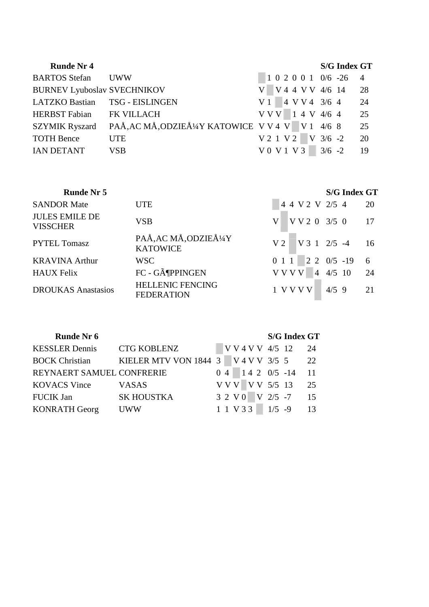| <b>Runde Nr 4</b>                  |                                                 |  |  |  |                    | <b>S/G Index GT</b>   |      |
|------------------------------------|-------------------------------------------------|--|--|--|--------------------|-----------------------|------|
| <b>BARTOS Stefan</b> UWW           |                                                 |  |  |  |                    | $1020010/6 - 26$      |      |
| <b>BURNEV Lyuboslav SVECHNIKOV</b> |                                                 |  |  |  |                    | V4 4 V V 4/6 14 28    |      |
| LATZKO Bastian TSG - EISLINGEN     |                                                 |  |  |  |                    | $V1$ 4 V V 4 3/6 4 24 |      |
| HERBST Fabian FK VILLACH           |                                                 |  |  |  |                    | $VVV$ 1 4 V 4/6 4 25  |      |
| <b>SZYMIK Ryszard</b>              | PAÅ, AC MÅ, ODZIEż Y KATOWICE V V 4 V V 1 4/6 8 |  |  |  |                    |                       | 25   |
| <b>TOTH Bence</b>                  | <b>UTE</b>                                      |  |  |  | V 2 1 V 2 V 3/6 -2 |                       | - 20 |
| <b>IAN DETANT</b>                  | <b>VSB</b>                                      |  |  |  | $V0 V1 V3$ 3/6 -2  |                       | -19  |
|                                    |                                                 |  |  |  |                    |                       |      |

| <b>Runde Nr 5</b>                        |                                              |                                 | <b>S/G Index GT</b> |                 |
|------------------------------------------|----------------------------------------------|---------------------------------|---------------------|-----------------|
| <b>SANDOR Mate</b>                       | <b>UTE</b>                                   | 4 4 V 2 V 2/5 4                 |                     | 20              |
| <b>JULES EMILE DE</b><br><b>VISSCHER</b> | <b>VSB</b>                                   | VV203/50<br>V                   |                     | 17              |
| <b>PYTEL Tomasz</b>                      | PAÅ, AC MÅ, ODZIEÅ1/4Y<br><b>KATOWICE</b>    | $V3 1 2/5 -4$<br>V <sub>2</sub> |                     | 16              |
| <b>KRAVINA Arthur</b>                    | <b>WSC</b>                                   | $0 1 1$ 2 2 0/5 -19             |                     | $6\overline{6}$ |
| <b>HAUX Felix</b>                        | FC - GöPPINGEN                               | V V V V                         | $ 4 \t4/5 \t10$     | 24              |
| <b>DROUKAS</b> Anastasios                | <b>HELLENIC FENCING</b><br><b>FEDERATION</b> | 1 V V V V                       | $4/5$ 9             | 21              |

 **Runde Nr 6 S/G Index GT** KESSLER Dennis CTG KOBLENZ V V 4 V V 4/5 12 24 BOCK Christian KIELER MTV VON 1844 3 V 4 V V 3/5 5 22 REYNAERT SAMUEL CONFRERIE 0 4 1 4 2 0/5 -14 11 KOVACS Vince VASAS V V V V V 5/5 13 25 FUCIK Jan SK HOUSTKA 3 2 V 0 V 2/5 -7 15 KONRATH Georg UWW 1 1 V 3 3 1/5 -9 13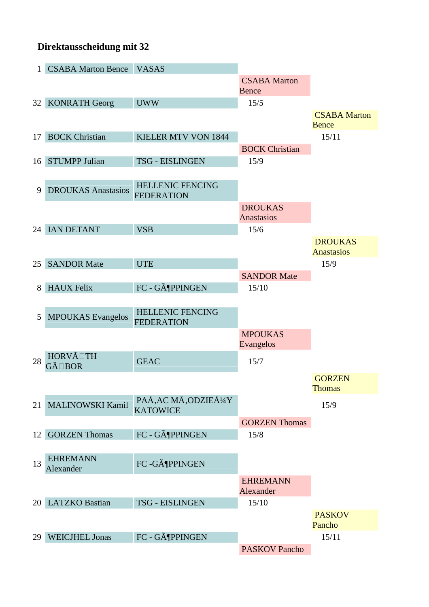### **Direktausscheidung mit 32**

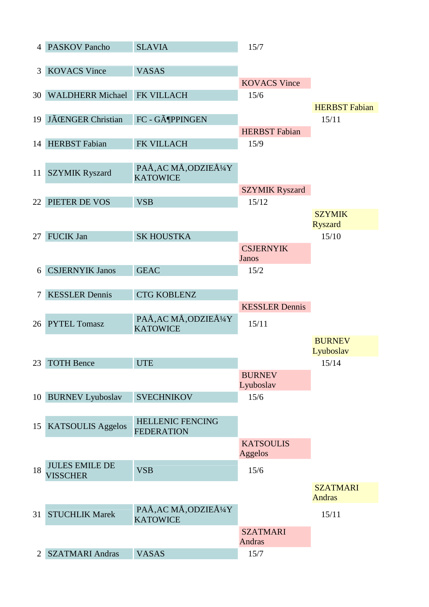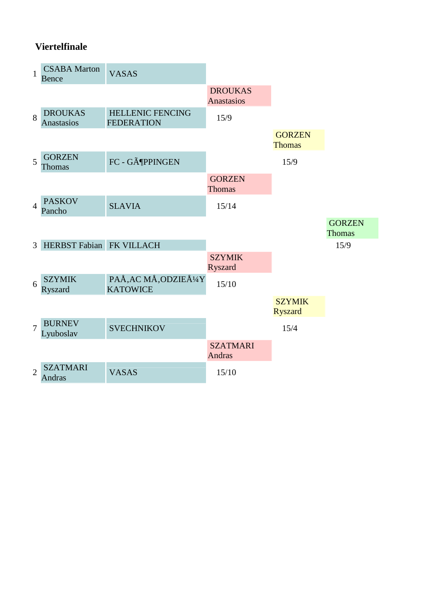## **Viertelfinale**

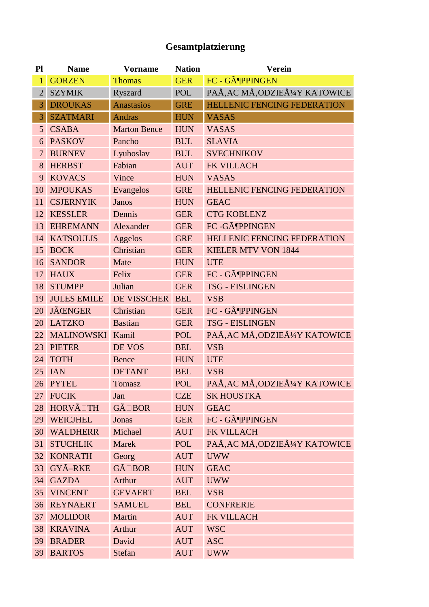## **Gesamtplatzierung**

| P1              | <b>Name</b>        | <b>Vorname</b>      | <b>Nation</b> | <b>Verein</b>                      |
|-----------------|--------------------|---------------------|---------------|------------------------------------|
| $\mathbf{1}$    | <b>GORZEN</b>      | <b>Thomas</b>       | <b>GER</b>    | FC - GöPPINGEN                     |
| $\overline{2}$  | <b>SZYMIK</b>      | Ryszard             | POL           | PAÅ, AC MÅ, ODZIEżY KATOWICE       |
| 3               | <b>DROUKAS</b>     | <b>Anastasios</b>   | <b>GRE</b>    | <b>HELLENIC FENCING FEDERATION</b> |
| 3               | <b>SZATMARI</b>    | <b>Andras</b>       | <b>HUN</b>    | <b>VASAS</b>                       |
| $\overline{5}$  | <b>CSABA</b>       | <b>Marton Bence</b> | <b>HUN</b>    | <b>VASAS</b>                       |
| 6               | <b>PASKOV</b>      | Pancho              | <b>BUL</b>    | <b>SLAVIA</b>                      |
| $\overline{7}$  | <b>BURNEV</b>      | Lyuboslav           | <b>BUL</b>    | <b>SVECHNIKOV</b>                  |
| 8               | <b>HERBST</b>      | Fabian              | <b>AUT</b>    | FK VILLACH                         |
| 9               | <b>KOVACS</b>      | Vince               | <b>HUN</b>    | <b>VASAS</b>                       |
| 10              | <b>MPOUKAS</b>     | Evangelos           | <b>GRE</b>    | <b>HELLENIC FENCING FEDERATION</b> |
| 11              | <b>CSJERNYIK</b>   | Janos               | <b>HUN</b>    | <b>GEAC</b>                        |
| 12              | <b>KESSLER</b>     | Dennis              | <b>GER</b>    | <b>CTG KOBLENZ</b>                 |
| 13              | <b>EHREMANN</b>    | Alexander           | <b>GER</b>    | FC -GöPPINGEN                      |
| 14              | <b>KATSOULIS</b>   | Aggelos             | <b>GRE</b>    | <b>HELLENIC FENCING FEDERATION</b> |
| 15              | <b>BOCK</b>        | Christian           | <b>GER</b>    | <b>KIELER MTV VON 1844</b>         |
| 16              | <b>SANDOR</b>      | Mate                | <b>HUN</b>    | <b>UTE</b>                         |
| 17              | <b>HAUX</b>        | Felix               | <b>GER</b>    | FC - GöPPINGEN                     |
| 18              | <b>STUMPP</b>      | Julian              | <b>GER</b>    | <b>TSG - EISLINGEN</b>             |
| 19              | <b>JULES EMILE</b> | <b>DE VISSCHER</b>  | <b>BEL</b>    | <b>VSB</b>                         |
| 20              | <b>JÃŒNGER</b>     | Christian           | <b>GER</b>    | FC - GöPPINGEN                     |
| 20              | <b>LATZKO</b>      | <b>Bastian</b>      | <b>GER</b>    | <b>TSG - EISLINGEN</b>             |
| 22              | MALINOWSKI Kamil   |                     | <b>POL</b>    | PAÅ, AC MÅ, ODZIEÅ1/4Y KATOWICE    |
| 23              | <b>PIETER</b>      | DE VOS              | <b>BEL</b>    | <b>VSB</b>                         |
| 24              | <b>TOTH</b>        | <b>Bence</b>        | <b>HUN</b>    | <b>UTE</b>                         |
| 25              | <b>IAN</b>         | <b>DETANT</b>       | <b>BEL</b>    | <b>VSB</b>                         |
| 26              | <b>PYTEL</b>       | <b>Tomasz</b>       | <b>POL</b>    | PAÅ, AC MÅ, ODZIEżY KATOWICE       |
| 27              | <b>FUCIK</b>       | Jan                 | <b>CZE</b>    | <b>SK HOUSTKA</b>                  |
| 28              | HORVÃ TH           | GÃ BOR              | <b>HUN</b>    | <b>GEAC</b>                        |
| 29              | <b>WEICJHEL</b>    | Jonas               | <b>GER</b>    | FC - GöPPINGEN                     |
| 30              | <b>WALDHERR</b>    | Michael             | <b>AUT</b>    | FK VILLACH                         |
| 31              | <b>STUCHLIK</b>    | Marek               | POL           | PAÅ, AC MÅ, ODZIEÅ1/4Y KATOWICE    |
| 32              | <b>KONRATH</b>     | Georg               | <b>AUT</b>    | <b>UWW</b>                         |
| 33              | GYÃ-RKE            | GÃ BOR              | <b>HUN</b>    | <b>GEAC</b>                        |
| 34              | <b>GAZDA</b>       | Arthur              | <b>AUT</b>    | <b>UWW</b>                         |
| 35 <sup>°</sup> | <b>VINCENT</b>     | <b>GEVAERT</b>      | <b>BEL</b>    | <b>VSB</b>                         |
| 36              | <b>REYNAERT</b>    | <b>SAMUEL</b>       | <b>BEL</b>    | <b>CONFRERIE</b>                   |
| 37              | <b>MOLIDOR</b>     | Martin              | <b>AUT</b>    | FK VILLACH                         |
| 38              | <b>KRAVINA</b>     | Arthur              | <b>AUT</b>    | <b>WSC</b>                         |
| 39              | <b>BRADER</b>      | David               | <b>AUT</b>    | <b>ASC</b>                         |
|                 | 39 BARTOS          | Stefan              | <b>AUT</b>    | <b>UWW</b>                         |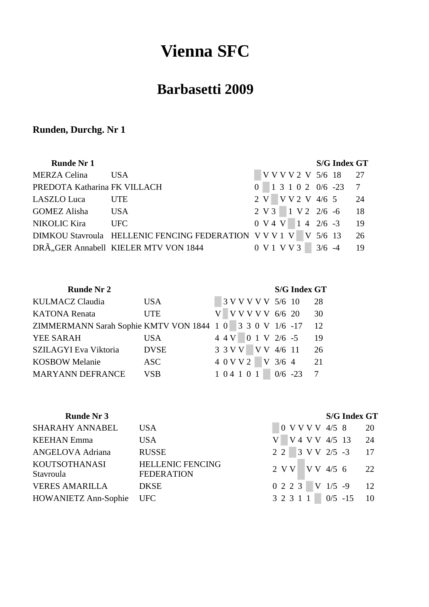# **Vienna SFC**

## **Barbasetti 2009**

## **Runden, Durchg. Nr 1**

| <b>Runde Nr 1</b>            |                                                                 |  |  |  |                                                | <b>S/G Index GT</b>     |    |
|------------------------------|-----------------------------------------------------------------|--|--|--|------------------------------------------------|-------------------------|----|
| <b>MERZA Celina</b>          | <b>USA</b>                                                      |  |  |  |                                                | V V V V 2 V 5/6 18 27   |    |
| PREDOTA Katharina FK VILLACH |                                                                 |  |  |  |                                                | $0$ 1 3 1 0 2 0/6 -23 7 |    |
| LASZLO Luca                  | <b>UTE</b>                                                      |  |  |  |                                                | 2 V V V 2 V 4/6 5 24    |    |
| GOMEZ Alisha USA             |                                                                 |  |  |  |                                                | 2 V 3 1 V 2 2/6 -6 18   |    |
| NIKOLIC Kira                 | <b>UFC</b>                                                      |  |  |  | $0 V4 V 1 4 2/6 -3$                            |                         | 19 |
|                              | DIMKOU Stavroula HELLENIC FENCING FEDERATION V V V 1 V V 5/6 13 |  |  |  |                                                |                         | 26 |
|                              | DRÃ, GER Annabell KIELER MTV VON 1844                           |  |  |  | $0 \text{ V} 1 \text{ V} 8 \text{ V} 3$ 3/6 -4 |                         | 19 |

| Runde Nr 2 |  |  |  |  |
|------------|--|--|--|--|
|------------|--|--|--|--|

### $S/G$  **Index** GT

| KULMACZ Claudia                                           | <b>USA</b>  |  |  |  | 3 V V V V V 5/6 10  |                              | 28 |
|-----------------------------------------------------------|-------------|--|--|--|---------------------|------------------------------|----|
| <b>KATONA Renata</b>                                      | <b>UTE</b>  |  |  |  | V V V V V 6/6 20    |                              | 30 |
| ZIMMERMANN Sarah Sophie KMTV VON 1844 1 0 3 3 0 V 1/6 -17 |             |  |  |  |                     |                              | 12 |
| <b>YEE SARAH</b>                                          | USA         |  |  |  | 4 4 V 0 1 V 2/6 -5  |                              | 19 |
| SZILAGYI Eva Viktoria                                     | <b>DVSE</b> |  |  |  | 3 3 V V V V 4/6 11  |                              | 26 |
| <b>KOSBOW Melanie</b>                                     | ASC         |  |  |  | $4.0$ V V 2 V 3/6 4 |                              | 21 |
| <b>MARYANN DEFRANCE</b>                                   | <b>VSB</b>  |  |  |  |                     | $1\;0\;4\;1\;0\;1$ 0/6 -23 7 |    |

| SHARAHY ANNABEL                   | <b>USA</b>                                   | 0 V V V V 4/5 8 20         |
|-----------------------------------|----------------------------------------------|----------------------------|
| <b>KEEHAN Emma</b>                | <b>USA</b>                                   | $V$ V 4 V V 4/5 13 24      |
| <b>ANGELOVA Adriana</b>           | <b>RUSSE</b>                                 | 2 2 3 V V 2/5 -3 17        |
| <b>KOUTSOTHANASI</b><br>Stavroula | <b>HELLENIC FENCING</b><br><b>FEDERATION</b> | 2 V V V V 4/5 6 22         |
| <b>VERES AMARILLA</b>             | <b>DKSE</b>                                  | $0 2 2 3$ V $1/5 -9$ 12    |
| HOWANIETZ Ann-Sophie UFC          |                                              | $3\ 2\ 3\ 1\ 1$ 0/5 -15 10 |

## **Runde Nr 3 S/G Index GT**

| USA                                   | $0$ V V V V 4/5 8           | 20 |
|---------------------------------------|-----------------------------|----|
| USA                                   | V V 4 V V 4/5 13 24         |    |
| RUSSE                                 | $22 \ 3 \ VV \ 2/5 -3 \ 17$ |    |
| <b>HELLENIC FENCING</b><br>FEDERATION | 2 V V V V 4/5 6 22          |    |
| DKSE                                  | $0 2 2 3$ V $1/5 -9$ 12     |    |
| UFC                                   | 3 2 3 1 1 0/5 -15 10        |    |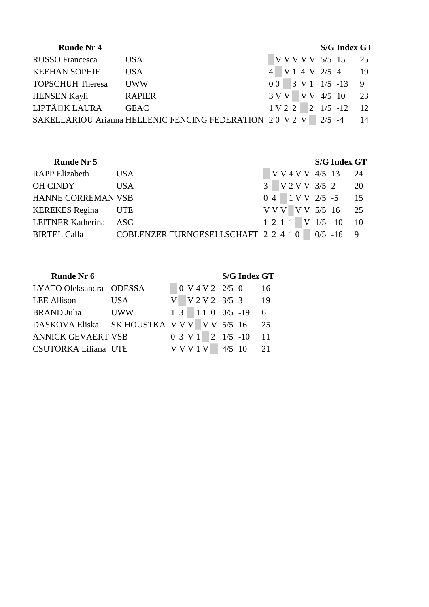| <b>Runde Nr 4</b>       |                                                          |                |  |                                 | <b>S/G Index GT</b> |     |
|-------------------------|----------------------------------------------------------|----------------|--|---------------------------------|---------------------|-----|
| <b>RUSSO</b> Francesca  | <b>USA</b>                                               |                |  | V V V V V 5/5 15                |                     | 25  |
| <b>KEEHAN SOPHIE</b>    | <b>USA</b>                                               |                |  | V14V2/54                        |                     | -19 |
| <b>TOPSCHUH Theresa</b> | <b>UWW</b>                                               | 0 <sub>0</sub> |  | $3 \text{ V} 1 \frac{1}{5} -13$ |                     | - 9 |
| <b>HENSEN Kayli</b>     | <b>RAPIER</b>                                            | 3 VV           |  | V V 4/5 10                      |                     | 23  |
| LIPTÃ KLAURA            | <b>GEAC</b>                                              | 1 V 2 2        |  | $2 \frac{1}{5} - 12$            |                     | -12 |
|                         | SAKELLARIOU Arianna HELLENIC FENCING FEDERATION 20 V 2 V |                |  | $2/5$ -4                        |                     | 14  |

| <b>Runde Nr 5</b>         |                                                |  |  |  | <b>S/G Index GT</b>   |  |
|---------------------------|------------------------------------------------|--|--|--|-----------------------|--|
| <b>RAPP Elizabeth</b>     | <b>USA</b>                                     |  |  |  | V V 4 V V 4/5 13 24   |  |
| <b>OH CINDY</b>           | <b>USA</b>                                     |  |  |  | 3 V 2 V V 3/5 2 20    |  |
| <b>HANNE CORREMAN VSB</b> |                                                |  |  |  | $0$ 4 1 V V 2/5 -5 15 |  |
| <b>KEREKES</b> Regina     | <b>UTE</b>                                     |  |  |  | V V V V V 5/5 16 25   |  |
| LEITNER Katherina ASC     |                                                |  |  |  | 1 2 1 1 V 1/5 -10 10  |  |
| <b>BIRTEL Calla</b>       | COBLENZER TURNGESELLSCHAFT 2 2 4 1 0 0/5 -16 9 |  |  |  |                       |  |

| <b>Runde Nr 6</b>                          |     |  |  |  |                                 | <b>S/G Index GT</b>   |                 |
|--------------------------------------------|-----|--|--|--|---------------------------------|-----------------------|-----------------|
| LYATO Oleksandra ODESSA                    |     |  |  |  | 0 V 4 V 2 2/5 0                 | 16                    |                 |
| LEE Allison                                | USA |  |  |  |                                 | V V 2 V 2 3/5 3 19    |                 |
| BRAND Julia             UWW                |     |  |  |  | $1 \t3 \t1 \t1 \t0 \t0/5 \t-19$ |                       | $6\overline{6}$ |
| DASKOVA Eliska SK HOUSTKA V V V V V 5/5 16 |     |  |  |  |                                 |                       | 25              |
| ANNICK GEVAERT VSB                         |     |  |  |  | $0 \ 3 \ V \ 1 \ 2 \ 1/5 \ -10$ |                       | <sup>11</sup>   |
| CSUTORKA Liliana UTE                       |     |  |  |  |                                 | $V V V 1 V$ 4/5 10 21 |                 |
|                                            |     |  |  |  |                                 |                       |                 |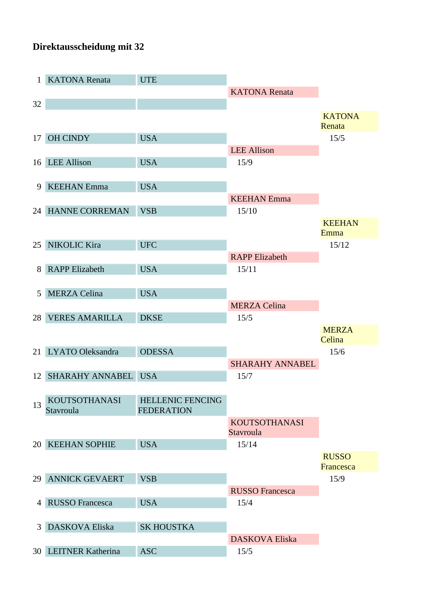### **Direktausscheidung mit 32**

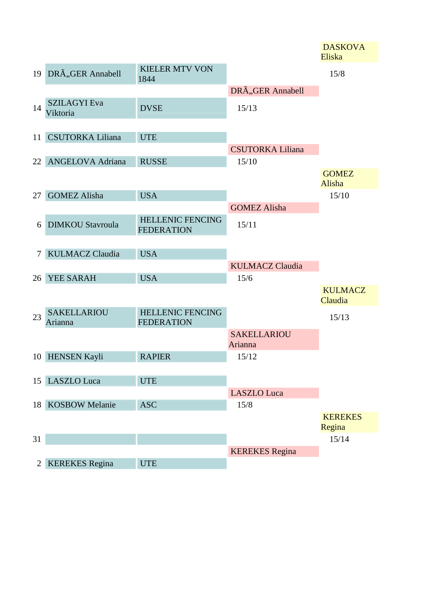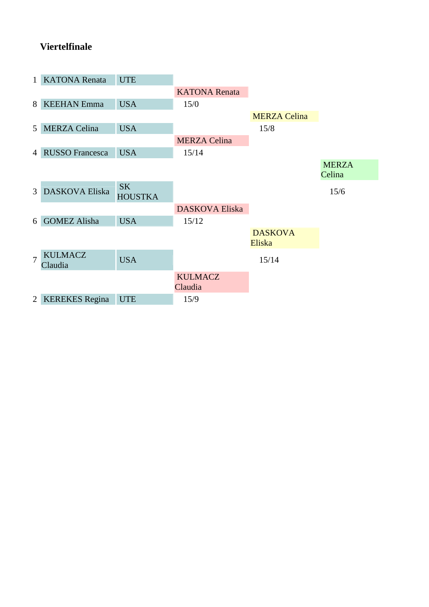## **Viertelfinale**